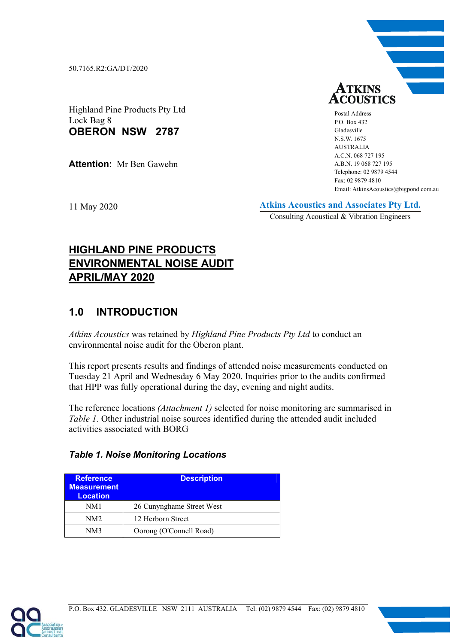50.7165.R2:GA/DT/2020

**TKINS ACOUSTICS** 

Postal Address P.O. Box 432 Gladesville N.S.W. 1675 AUSTRALIA A.C.N. 068 727 195 A.B.N. 19 068 727 195 Telephone: 02 9879 4544 Fax: 02 9879 4810 Email: AtkinsAcoustics@bigpond.com.au

Highland Pine Products Pty Ltd Lock Bag 8 **OBERON NSW 2787** 

**Attention:** Mr Ben Gawehn

11 May 2020

**Atkins Acoustics and Associates Pty Ltd.**

Consulting Acoustical & Vibration Engineers

# **HIGHLAND PINE PRODUCTS ENVIRONMENTAL NOISE AUDIT APRIL/MAY 2020**

# **1.0 INTRODUCTION**

*Atkins Acoustics* was retained by *Highland Pine Products Pty Ltd* to conduct an environmental noise audit for the Oberon plant.

This report presents results and findings of attended noise measurements conducted on Tuesday 21 April and Wednesday 6 May 2020. Inquiries prior to the audits confirmed that HPP was fully operational during the day, evening and night audits.

The reference locations *(Attachment 1)* selected for noise monitoring are summarised in *Table 1.* Other industrial noise sources identified during the attended audit included activities associated with BORG

|  |  |  | <b>Table 1. Noise Monitoring Locations</b> |  |
|--|--|--|--------------------------------------------|--|
|--|--|--|--------------------------------------------|--|

| <b>Reference</b><br><b>Measurement</b><br><b>Location</b> | <b>Description</b>        |
|-----------------------------------------------------------|---------------------------|
| NM1                                                       | 26 Cunynghame Street West |
| NM <sub>2</sub>                                           | 12 Herborn Street         |
| NM3                                                       | Oorong (O'Connell Road)   |

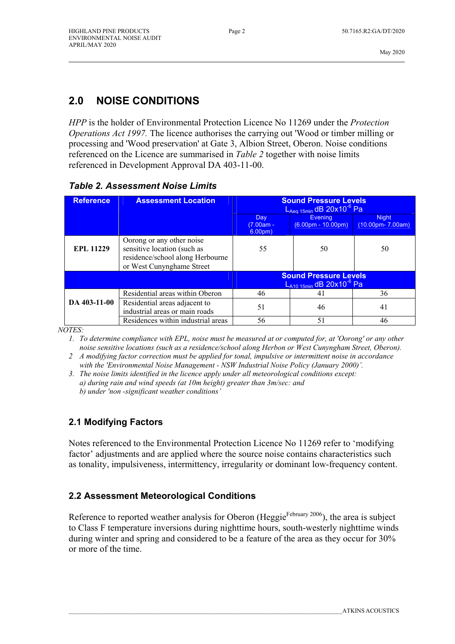# **2.0 NOISE CONDITIONS**

*HPP* is the holder of Environmental Protection Licence No 11269 under the *Protection Operations Act 1997.* The licence authorises the carrying out 'Wood or timber milling or processing and 'Wood preservation' at Gate 3, Albion Street, Oberon. Noise conditions referenced on the Licence are summarised in *Table 2* together with noise limits referenced in Development Approval DA 403-11-00.

| <b>Reference</b> | <b>Assessment Location</b>                                                                                                | <b>Sound Pressure Levels</b><br>$L_{Aeq}$ <sub>15min</sub> dB 20x10 <sup>-6</sup> Pa |                                                                           |                                                      |  |
|------------------|---------------------------------------------------------------------------------------------------------------------------|--------------------------------------------------------------------------------------|---------------------------------------------------------------------------|------------------------------------------------------|--|
|                  |                                                                                                                           | Day<br>$(7.00am -$<br>6.00 <sub>pm</sub>                                             | <b>Evening</b><br>$(6.00pm - 10.00pm)$                                    | <b>Night</b><br>$(10.00 \text{pm} - 7.00 \text{am})$ |  |
| <b>EPL 11229</b> | Oorong or any other noise<br>sensitive location (such as<br>residence/school along Herbourne<br>or West Cunynghame Street | 55                                                                                   | 50                                                                        | 50                                                   |  |
|                  |                                                                                                                           |                                                                                      | <b>Sound Pressure Levels</b><br>$L_{A10,15min}$ dB 20x10 <sup>-6</sup> Pa |                                                      |  |
|                  | Residential areas within Oberon                                                                                           | 46                                                                                   | 41                                                                        | 36                                                   |  |
| DA 403-11-00     | Residential areas adjacent to<br>industrial areas or main roads                                                           | 51                                                                                   | 46                                                                        | 41                                                   |  |
|                  | Residences within industrial areas                                                                                        | 56                                                                                   | 51                                                                        | 46                                                   |  |

#### *Table 2. Assessment Noise Limits*

*NOTES:* 

 *1. To determine compliance with EPL, noise must be measured at or computed for, at 'Oorong' or any other noise sensitive locations (such as a residence/school along Herbon or West Cunyngham Street, Oberon).* 

*2 A modifying factor correction must be applied for tonal, impulsive or intermittent noise in accordance with the 'Environmental Noise Management - NSW Industrial Noise Policy (January 2000)'.* 

*3. The noise limits identified in the licence apply under all meteorological conditions except: a) during rain and wind speeds (at 10m height) greater than 3m/sec: and b) under 'non -significant weather conditions'* 

#### **2.1 Modifying Factors**

Notes referenced to the Environmental Protection Licence No 11269 refer to 'modifying factor' adjustments and are applied where the source noise contains characteristics such as tonality, impulsiveness, intermittency, irregularity or dominant low-frequency content.

#### **2.2 Assessment Meteorological Conditions**

Reference to reported weather analysis for Oberon (Heggie $F<sup>February 2006</sup>$ ), the area is subject to Class F temperature inversions during nighttime hours, south-westerly nighttime winds during winter and spring and considered to be a feature of the area as they occur for 30% or more of the time.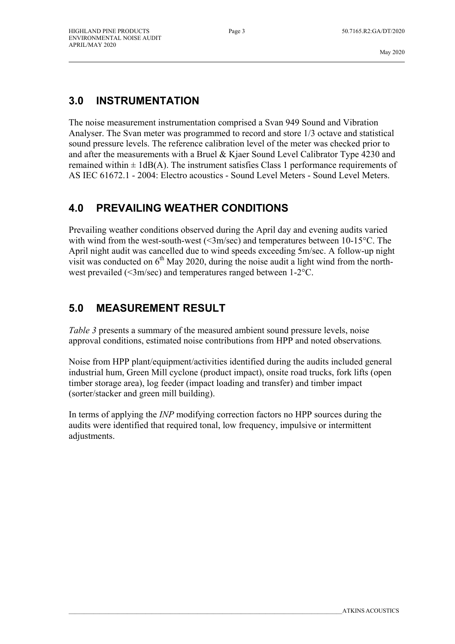## **3.0 INSTRUMENTATION**

The noise measurement instrumentation comprised a Svan 949 Sound and Vibration Analyser. The Svan meter was programmed to record and store 1/3 octave and statistical sound pressure levels. The reference calibration level of the meter was checked prior to and after the measurements with a Bruel & Kjaer Sound Level Calibrator Type 4230 and remained within  $\pm 1$ dB(A). The instrument satisfies Class 1 performance requirements of AS IEC 61672.1 - 2004: Electro acoustics - Sound Level Meters - Sound Level Meters.

## **4.0 PREVAILING WEATHER CONDITIONS**

Prevailing weather conditions observed during the April day and evening audits varied with wind from the west-south-west (<3m/sec) and temperatures between 10-15<sup>o</sup>C. The April night audit was cancelled due to wind speeds exceeding 5m/sec. A follow-up night visit was conducted on  $6<sup>th</sup>$  May 2020, during the noise audit a light wind from the northwest prevailed (<3m/sec) and temperatures ranged between 1-2°C.

## **5.0 MEASUREMENT RESULT**

*Table 3* presents a summary of the measured ambient sound pressure levels, noise approval conditions, estimated noise contributions from HPP and noted observations*.*

Noise from HPP plant/equipment/activities identified during the audits included general industrial hum, Green Mill cyclone (product impact), onsite road trucks, fork lifts (open timber storage area), log feeder (impact loading and transfer) and timber impact (sorter/stacker and green mill building).

In terms of applying the *INP* modifying correction factors no HPP sources during the audits were identified that required tonal, low frequency, impulsive or intermittent adjustments.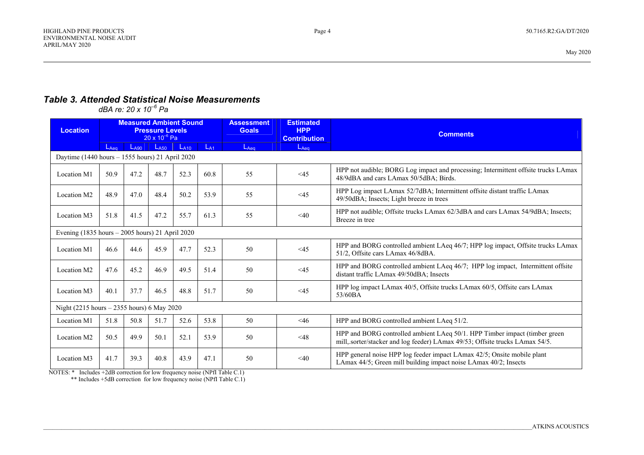#### *Table 3. Attended Statistical Noise Measurements*

*dBA re: 20 x 10–6 Pa*

| <b>Location</b>                                 | <b>Measured Ambient Sound</b><br><b>Pressure Levels</b><br>$20 \times 10^{-6}$ Pa |           |           | <b>Assessment</b><br><b>Goals</b> | <b>Estimated</b><br><b>HPP</b><br><b>Contribution</b> | <b>Comments</b> |           |                                                                                                                                                            |
|-------------------------------------------------|-----------------------------------------------------------------------------------|-----------|-----------|-----------------------------------|-------------------------------------------------------|-----------------|-----------|------------------------------------------------------------------------------------------------------------------------------------------------------------|
|                                                 | $L_{Aea}$                                                                         | $L_{A90}$ | $L_{A50}$ | $L_{A10}$                         | $L_{A1}$                                              | $L_{Aea}$       | $L_{Aea}$ |                                                                                                                                                            |
| Daytime (1440 hours – 1555 hours) 21 April 2020 |                                                                                   |           |           |                                   |                                                       |                 |           |                                                                                                                                                            |
| Location M1                                     | 50.9                                                                              | 47.2      | 48.7      | 52.3                              | 60.8                                                  | 55              | <45       | HPP not audible; BORG Log impact and processing; Intermittent offsite trucks LAmax<br>48/9dBA and cars LAmax 50/5dBA; Birds.                               |
| Location M2                                     | 48.9                                                                              | 47.0      | 48.4      | 50.2                              | 53.9                                                  | 55              | $\leq$ 45 | HPP Log impact LAmax 52/7dBA; Intermittent offsite distant traffic LAmax<br>49/50dBA; Insects; Light breeze in trees                                       |
| Location M3                                     | 51.8                                                                              | 41.5      | 47.2      | 55.7                              | 61.3                                                  | 55              | $<$ 40    | HPP not audible; Offsite trucks LAmax 62/3dBA and cars LAmax 54/9dBA; Insects;<br>Breeze in tree                                                           |
| Evening (1835 hours – 2005 hours) 21 April 2020 |                                                                                   |           |           |                                   |                                                       |                 |           |                                                                                                                                                            |
| Location M1                                     | 46.6                                                                              | 44.6      | 45.9      | 47.7                              | 52.3                                                  | 50              | <45       | HPP and BORG controlled ambient LAeq 46/7; HPP log impact, Offsite trucks LAmax<br>51/2, Offsite cars LAmax 46/8dBA.                                       |
| Location M2                                     | 47.6                                                                              | 45.2      | 46.9      | 49.5                              | 51.4                                                  | 50              | <45       | HPP and BORG controlled ambient LAeq 46/7; HPP log impact, Intermittent offsite<br>distant traffic LAmax 49/50dBA; Insects                                 |
| Location M3                                     | 40.1                                                                              | 37.7      | 46.5      | 48.8                              | 51.7                                                  | 50              | $\leq$ 45 | HPP log impact LAmax 40/5, Offsite trucks LAmax 60/5, Offsite cars LAmax<br>53/60BA                                                                        |
| Night (2215 hours – 2355 hours) 6 May 2020      |                                                                                   |           |           |                                   |                                                       |                 |           |                                                                                                                                                            |
| Location M1                                     | 51.8                                                                              | 50.8      | 51.7      | 52.6                              | 53.8                                                  | 50              | <46       | HPP and BORG controlled ambient LAeq 51/2.                                                                                                                 |
| Location M2                                     | 50.5                                                                              | 49.9      | 50.1      | 52.1                              | 53.9                                                  | 50              | <48       | HPP and BORG controlled ambient LAeq 50/1. HPP Timber impact (timber green<br>mill, sorter/stacker and log feeder) LAmax 49/53; Offsite trucks LAmax 54/5. |
| Location M3                                     | 41.7                                                                              | 39.3      | 40.8      | 43.9                              | 47.1                                                  | 50              | $<$ 40    | HPP general noise HPP log feeder impact LAmax 42/5; Onsite mobile plant<br>LAmax 44/5; Green mill building impact noise LAmax 40/2; Insects                |

NOTES: \* Includes +2dB correction for low frequency noise (NPfI Table C.1)

\*\* Includes +5dB correction for low frequency noise (NPfI Table C.1)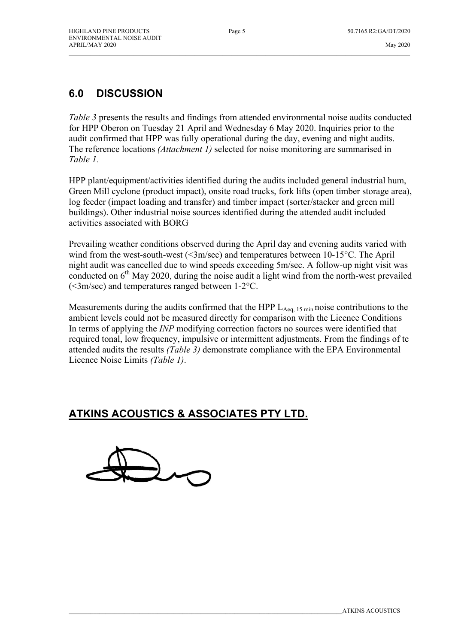\_\_\_\_\_\_\_\_\_\_\_\_\_\_\_\_\_\_\_\_\_\_\_\_\_\_\_\_\_\_\_\_\_\_\_\_\_\_\_\_\_\_\_\_\_\_\_\_\_\_\_\_\_\_\_\_\_\_\_\_\_\_\_\_\_\_\_\_\_\_\_\_\_\_\_\_\_\_\_\_\_\_\_\_\_\_\_\_\_\_\_\_\_\_\_\_\_\_\_\_\_\_\_\_\_\_\_\_\_\_\_

# **6.0 DISCUSSION**

*Table 3* presents the results and findings from attended environmental noise audits conducted for HPP Oberon on Tuesday 21 April and Wednesday 6 May 2020. Inquiries prior to the audit confirmed that HPP was fully operational during the day, evening and night audits. The reference locations *(Attachment 1)* selected for noise monitoring are summarised in *Table 1.*

HPP plant/equipment/activities identified during the audits included general industrial hum, Green Mill cyclone (product impact), onsite road trucks, fork lifts (open timber storage area), log feeder (impact loading and transfer) and timber impact (sorter/stacker and green mill buildings). Other industrial noise sources identified during the attended audit included activities associated with BORG

Prevailing weather conditions observed during the April day and evening audits varied with wind from the west-south-west (<3m/sec) and temperatures between 10-15 °C. The April night audit was cancelled due to wind speeds exceeding 5m/sec. A follow-up night visit was conducted on  $6<sup>th</sup>$  May 2020, during the noise audit a light wind from the north-west prevailed (<3m/sec) and temperatures ranged between 1-2°C.

Measurements during the audits confirmed that the HPP  $L_{Aeq, 15 min}$  noise contributions to the ambient levels could not be measured directly for comparison with the Licence Conditions In terms of applying the *INP* modifying correction factors no sources were identified that required tonal, low frequency, impulsive or intermittent adjustments. From the findings of te attended audits the results *(Table 3)* demonstrate compliance with the EPA Environmental Licence Noise Limits *(Table 1)*.

## **ATKINS ACOUSTICS & ASSOCIATES PTY LTD.**